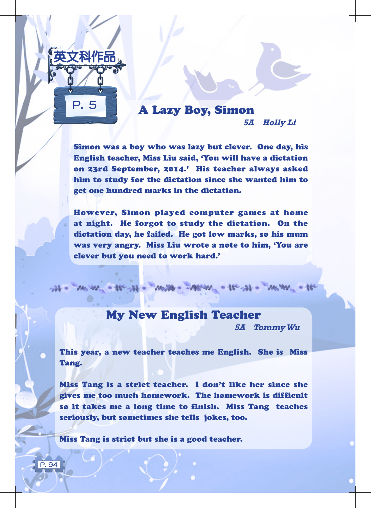

# A Lazy Boy, Simon

**5A Holly Li**

Simon was a boy who was lazy but clever. One day, his English teacher, Miss Liu said, 'You will have a dictation on 23rd September, 2014.' His teacher always asked him to study for the dictation since she wanted him to get one hundred marks in the dictation.

However, Simon played computer games at home at night. He forgot to study the dictation. On the dictation day, he failed. He got low marks, so his mum was very angry. Miss Liu wrote a note to him, 'You are clever but you need to work hard.'

### My New English Teacher

at - man - te st - man - Man - te st - man - te

**5A Tommy Wu**

This year, a new teacher teaches me English. She is Miss Tang.

Miss Tang is a strict teacher. I don't like her since she gives me too much homework. The homework is difficult so it takes me a long time to finish. Miss Tang teaches seriously, but sometimes she tells jokes, too.

Miss Tang is strict but she is a good teacher.

 $\overline{P}$  94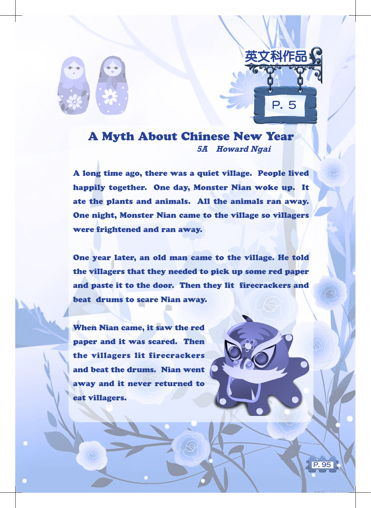

## A Myth About Chinese New Year **5A Howard Ngai**

P. 5

英文科作品

A long time ago, there was a quiet village. People lived happily together. One day, Monster Nian woke up. It ate the plants and animals. All the animals ran away. One night, Monster Nian came to the village so villagers were frightened and ran away.

One year later, an old man came to the village. He told the villagers that they needed to pick up some red paper and paste it to the door. Then they lit firecrackers and beat drums to scare Nian away.

P. 95

When Nian came, it saw the red paper and it was scared. Then the villagers lit firecrackers and beat the drums. Nian went away and it never returned to eat villagers.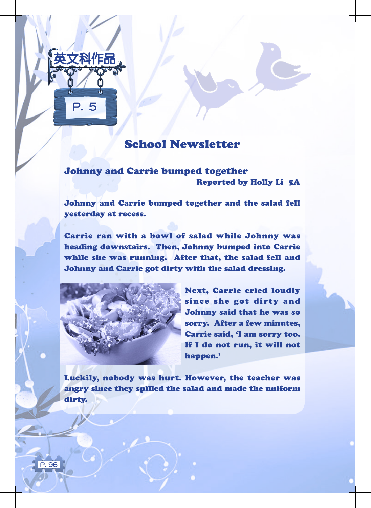

### School Newsletter

#### Johnny and Carrie bumped together Reported by Holly Li 5A

Johnny and Carrie bumped together and the salad fell yesterday at recess.

Carrie ran with a bowl of salad while Johnny was heading downstairs. Then, Johnny bumped into Carrie while she was running. After that, the salad fell and Johnny and Carrie got dirty with the salad dressing.



Next, Carrie cried loudly since she got dirty and Johnny said that he was so sorry. After a few minutes, Carrie said, 'I am sorry too. If I do not run, it will not happen.'

Luckily, nobody was hurt. However, the teacher was angry since they spilled the salad and made the uniform dirty.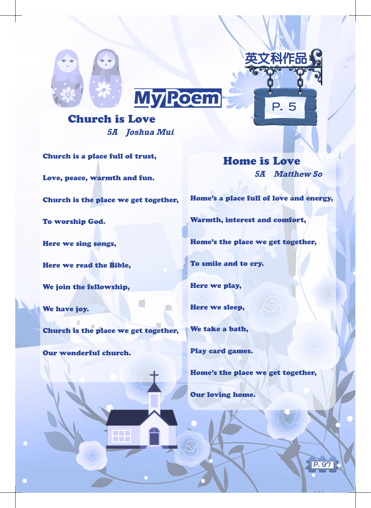



#### Church is Love **5A Joshua Mui**

Church is a place full of trust, Love, peace, warmth and fun. Church is the place we get together, To worship God.

Here we sing songs,

Here we read the Bible,

We join the fellowship,

We have joy.

Church is the place we get together,

Our wonderful church.

Home is Love **5A Matthew So**

P. 5

科作品

Home's a place full of love and energy,

Warmth, interest and comfort,

Home's the place we get together,

To smile and to cry.

Here we play,

Here we sleep,

We take a bath,

Play card games.

Home's the place we get together,

Our loving home.

P. 97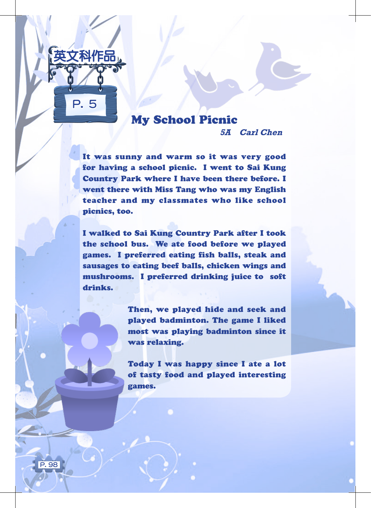

## My School Picnic

**5A Carl Chen**

It was sunny and warm so it was very good for having a school picnic. I went to Sai Kung Country Park where I have been there before. I went there with Miss Tang who was my English teacher and my classmates who like school picnics, too.

I walked to Sai Kung Country Park after I took the school bus. We ate food before we played games. I preferred eating fish balls, steak and sausages to eating beef balls, chicken wings and mushrooms. I preferred drinking juice to soft drinks.

> Then, we played hide and seek and played badminton. The game I liked most was playing badminton since it was relaxing.

> Today I was happy since I ate a lot of tasty food and played interesting games.

P. 98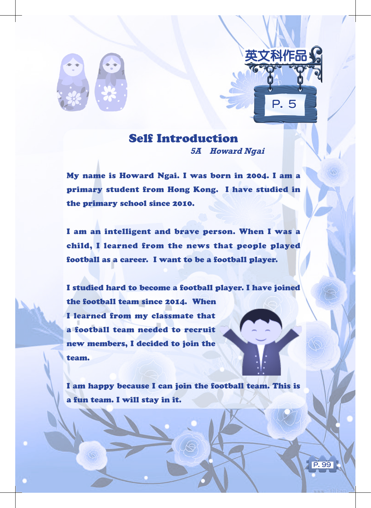



My name is Howard Ngai. I was born in 2004. I am a primary student from Hong Kong. I have studied in the primary school since 2010.

I am an intelligent and brave person. When I was a child, I learned from the news that people played football as a career. I want to be a football player.

I studied hard to become a football player. I have joined the football team since 2014. When I learned from my classmate that a football team needed to recruit new members, I decided to join the team.

I am happy because I can join the football team. This is a fun team. I will stay in it.

P. 99

 $\overline{\mathbf{5}}$ 

英文科作品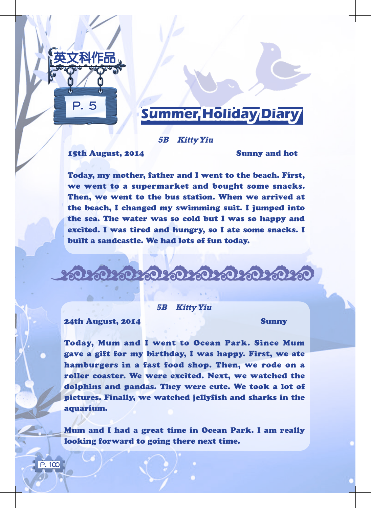

# **Summer Holiday Diary**

#### **5B Kitty Yiu**

15th August, 2014 Sunny and hot

Today, my mother, father and I went to the beach. First, we went to a supermarket and bought some snacks. Then, we went to the bus station. When we arrived at the beach, I changed my swimming suit. I jumped into the sea. The water was so cold but I was so happy and excited. I was tired and hungry, so I ate some snacks. I built a sandcastle. We had lots of fun today.

<u> ಬಂಬಲಿ ಸಂಸಂಸಂಸಂಸಂ</u>

**5B Kitty Yiu**

24th August, 2014 Sunny

 $\overline{P}$ . 100

Today, Mum and I went to Ocean Park. Since Mum gave a gift for my birthday, I was happy. First, we ate hamburgers in a fast food shop. Then, we rode on a roller coaster. We were excited. Next, we watched the dolphins and pandas. They were cute. We took a lot of pictures. Finally, we watched jellyfish and sharks in the aquarium.

Mum and I had a great time in Ocean Park. I am really looking forward to going there next time.